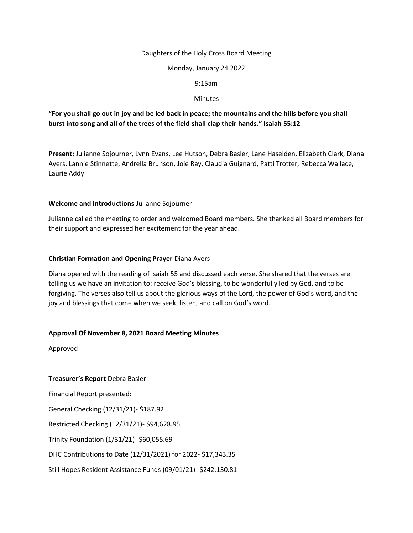#### Daughters of the Holy Cross Board Meeting

#### Monday, January 24,2022

#### 9:15am

#### **Minutes**

# **"For you shall go out in joy and be led back in peace; the mountains and the hills before you shall burst into song and all of the trees of the field shall clap their hands." Isaiah 55:12**

**Present:** Julianne Sojourner, Lynn Evans, Lee Hutson, Debra Basler, Lane Haselden, Elizabeth Clark, Diana Ayers, Lannie Stinnette, Andrella Brunson, Joie Ray, Claudia Guignard, Patti Trotter, Rebecca Wallace, Laurie Addy

#### **Welcome and Introductions** Julianne Sojourner

Julianne called the meeting to order and welcomed Board members. She thanked all Board members for their support and expressed her excitement for the year ahead.

#### **Christian Formation and Opening Prayer** Diana Ayers

Diana opened with the reading of Isaiah 55 and discussed each verse. She shared that the verses are telling us we have an invitation to: receive God's blessing, to be wonderfully led by God, and to be forgiving. The verses also tell us about the glorious ways of the Lord, the power of God's word, and the joy and blessings that come when we seek, listen, and call on God's word.

# **Approval Of November 8, 2021 Board Meeting Minutes**

Approved

#### **Treasurer's Report** Debra Basler

Financial Report presented: General Checking (12/31/21)- \$187.92 Restricted Checking (12/31/21)- \$94,628.95 Trinity Foundation (1/31/21)- \$60,055.69 DHC Contributions to Date (12/31/2021) for 2022- \$17,343.35 Still Hopes Resident Assistance Funds (09/01/21)- \$242,130.81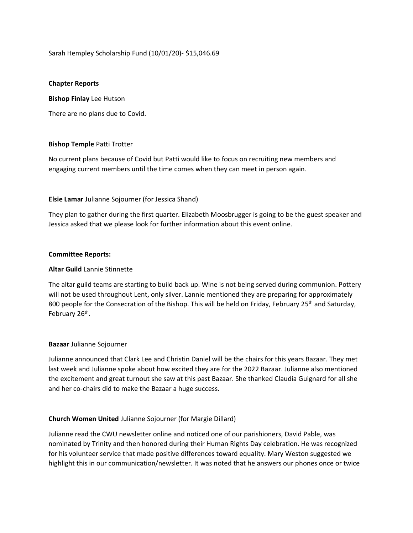Sarah Hempley Scholarship Fund (10/01/20)- \$15,046.69

### **Chapter Reports**

**Bishop Finlay** Lee Hutson

There are no plans due to Covid.

#### **Bishop Temple** Patti Trotter

No current plans because of Covid but Patti would like to focus on recruiting new members and engaging current members until the time comes when they can meet in person again.

#### **Elsie Lamar** Julianne Sojourner (for Jessica Shand)

They plan to gather during the first quarter. Elizabeth Moosbrugger is going to be the guest speaker and Jessica asked that we please look for further information about this event online.

#### **Committee Reports:**

### **Altar Guild** Lannie Stinnette

The altar guild teams are starting to build back up. Wine is not being served during communion. Pottery will not be used throughout Lent, only silver. Lannie mentioned they are preparing for approximately 800 people for the Consecration of the Bishop. This will be held on Friday, February 25<sup>th</sup> and Saturday, February 26<sup>th</sup>.

# **Bazaar** Julianne Sojourner

Julianne announced that Clark Lee and Christin Daniel will be the chairs for this years Bazaar. They met last week and Julianne spoke about how excited they are for the 2022 Bazaar. Julianne also mentioned the excitement and great turnout she saw at this past Bazaar. She thanked Claudia Guignard for all she and her co-chairs did to make the Bazaar a huge success.

# **Church Women United** Julianne Sojourner (for Margie Dillard)

Julianne read the CWU newsletter online and noticed one of our parishioners, David Pable, was nominated by Trinity and then honored during their Human Rights Day celebration. He was recognized for his volunteer service that made positive differences toward equality. Mary Weston suggested we highlight this in our communication/newsletter. It was noted that he answers our phones once or twice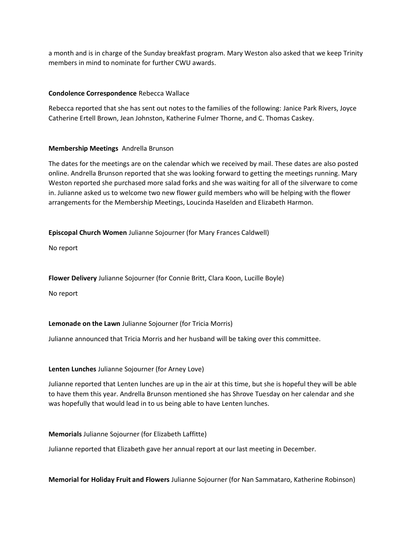a month and is in charge of the Sunday breakfast program. Mary Weston also asked that we keep Trinity members in mind to nominate for further CWU awards.

# **Condolence Correspondence** Rebecca Wallace

Rebecca reported that she has sent out notes to the families of the following: Janice Park Rivers, Joyce Catherine Ertell Brown, Jean Johnston, Katherine Fulmer Thorne, and C. Thomas Caskey.

# **Membership Meetings** Andrella Brunson

The dates for the meetings are on the calendar which we received by mail. These dates are also posted online. Andrella Brunson reported that she was looking forward to getting the meetings running. Mary Weston reported she purchased more salad forks and she was waiting for all of the silverware to come in. Julianne asked us to welcome two new flower guild members who will be helping with the flower arrangements for the Membership Meetings, Loucinda Haselden and Elizabeth Harmon.

**Episcopal Church Women** Julianne Sojourner (for Mary Frances Caldwell)

No report

**Flower Delivery** Julianne Sojourner (for Connie Britt, Clara Koon, Lucille Boyle)

No report

# **Lemonade on the Lawn** Julianne Sojourner (for Tricia Morris)

Julianne announced that Tricia Morris and her husband will be taking over this committee.

#### **Lenten Lunches** Julianne Sojourner (for Arney Love)

Julianne reported that Lenten lunches are up in the air at this time, but she is hopeful they will be able to have them this year. Andrella Brunson mentioned she has Shrove Tuesday on her calendar and she was hopefully that would lead in to us being able to have Lenten lunches.

**Memorials** Julianne Sojourner (for Elizabeth Laffitte)

Julianne reported that Elizabeth gave her annual report at our last meeting in December.

**Memorial for Holiday Fruit and Flowers** Julianne Sojourner (for Nan Sammataro, Katherine Robinson)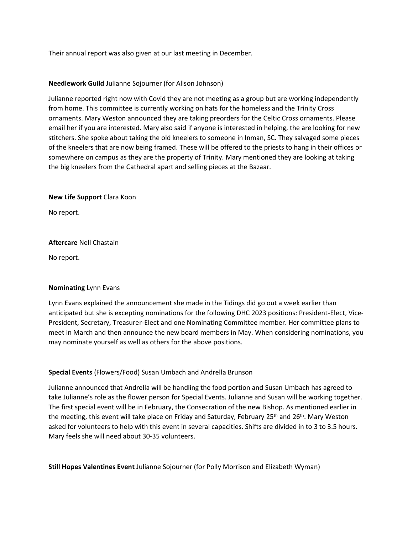Their annual report was also given at our last meeting in December.

# **Needlework Guild** Julianne Sojourner (for Alison Johnson)

Julianne reported right now with Covid they are not meeting as a group but are working independently from home. This committee is currently working on hats for the homeless and the Trinity Cross ornaments. Mary Weston announced they are taking preorders for the Celtic Cross ornaments. Please email her if you are interested. Mary also said if anyone is interested in helping, the are looking for new stitchers. She spoke about taking the old kneelers to someone in Inman, SC. They salvaged some pieces of the kneelers that are now being framed. These will be offered to the priests to hang in their offices or somewhere on campus as they are the property of Trinity. Mary mentioned they are looking at taking the big kneelers from the Cathedral apart and selling pieces at the Bazaar.

#### **New Life Support** Clara Koon

No report.

# **Aftercare** Nell Chastain

No report.

# **Nominating** Lynn Evans

Lynn Evans explained the announcement she made in the Tidings did go out a week earlier than anticipated but she is excepting nominations for the following DHC 2023 positions: President-Elect, Vice-President, Secretary, Treasurer-Elect and one Nominating Committee member. Her committee plans to meet in March and then announce the new board members in May. When considering nominations, you may nominate yourself as well as others for the above positions.

# **Special Events** (Flowers/Food) Susan Umbach and Andrella Brunson

Julianne announced that Andrella will be handling the food portion and Susan Umbach has agreed to take Julianne's role as the flower person for Special Events. Julianne and Susan will be working together. The first special event will be in February, the Consecration of the new Bishop. As mentioned earlier in the meeting, this event will take place on Friday and Saturday, February 25<sup>th</sup> and 26<sup>th</sup>. Mary Weston asked for volunteers to help with this event in several capacities. Shifts are divided in to 3 to 3.5 hours. Mary feels she will need about 30-35 volunteers.

**Still Hopes Valentines Event** Julianne Sojourner (for Polly Morrison and Elizabeth Wyman)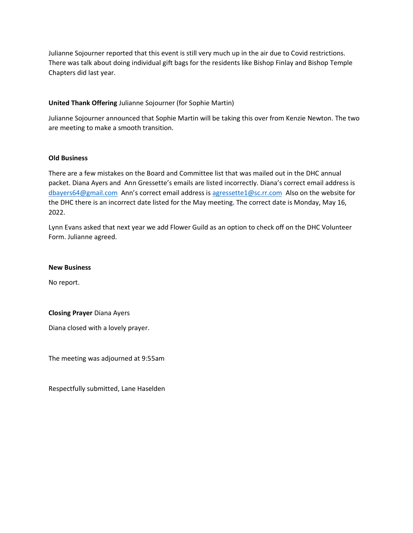Julianne Sojourner reported that this event is still very much up in the air due to Covid restrictions. There was talk about doing individual gift bags for the residents like Bishop Finlay and Bishop Temple Chapters did last year.

# **United Thank Offering** Julianne Sojourner (for Sophie Martin)

Julianne Sojourner announced that Sophie Martin will be taking this over from Kenzie Newton. The two are meeting to make a smooth transition.

#### **Old Business**

There are a few mistakes on the Board and Committee list that was mailed out in the DHC annual packet. Diana Ayers and Ann Gressette's emails are listed incorrectly. Diana's correct email address is [dbayers64@gmail.com](mailto:dbayers64@gmail.com) Ann's correct email address is [agressette1@sc.rr.com](mailto:agressette1@sc.rr.com) Also on the website for the DHC there is an incorrect date listed for the May meeting. The correct date is Monday, May 16, 2022.

Lynn Evans asked that next year we add Flower Guild as an option to check off on the DHC Volunteer Form. Julianne agreed.

#### **New Business**

No report.

# **Closing Prayer** Diana Ayers

Diana closed with a lovely prayer.

The meeting was adjourned at 9:55am

Respectfully submitted, Lane Haselden